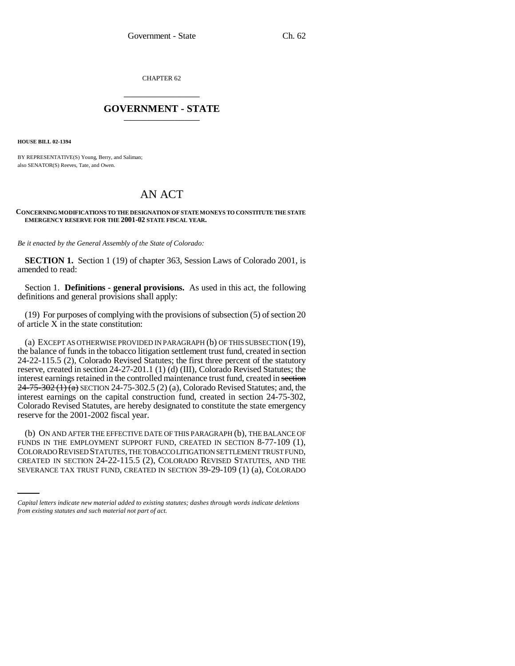CHAPTER 62 \_\_\_\_\_\_\_\_\_\_\_\_\_\_\_

## **GOVERNMENT - STATE** \_\_\_\_\_\_\_\_\_\_\_\_\_\_\_

**HOUSE BILL 02-1394**

BY REPRESENTATIVE(S) Young, Berry, and Saliman; also SENATOR(S) Reeves, Tate, and Owen.

## AN ACT

## **CONCERNING MODIFICATIONS TO THE DESIGNATION OF STATE MONEYS TO CONSTITUTE THE STATE EMERGENCY RESERVE FOR THE 2001-02 STATE FISCAL YEAR.**

*Be it enacted by the General Assembly of the State of Colorado:*

**SECTION 1.** Section 1 (19) of chapter 363, Session Laws of Colorado 2001, is amended to read:

Section 1. **Definitions - general provisions.** As used in this act, the following definitions and general provisions shall apply:

(19) For purposes of complying with the provisions of subsection (5) of section 20 of article X in the state constitution:

(a) EXCEPT AS OTHERWISE PROVIDED IN PARAGRAPH (b) OF THIS SUBSECTION (19), the balance of funds in the tobacco litigation settlement trust fund, created in section 24-22-115.5 (2), Colorado Revised Statutes; the first three percent of the statutory reserve, created in section 24-27-201.1 (1) (d) (III), Colorado Revised Statutes; the interest earnings retained in the controlled maintenance trust fund, created in section  $24-75-302(1)(a)$  SECTION 24-75-302.5 (2) (a), Colorado Revised Statutes; and, the interest earnings on the capital construction fund, created in section 24-75-302, Colorado Revised Statutes, are hereby designated to constitute the state emergency reserve for the 2001-2002 fiscal year.

COLORADO REVISED STATUTES, THE TOBACCO LITIGATION SETTLEMENT TRUST FUND, (b) ON AND AFTER THE EFFECTIVE DATE OF THIS PARAGRAPH (b), THE BALANCE OF FUNDS IN THE EMPLOYMENT SUPPORT FUND, CREATED IN SECTION 8-77-109 (1), CREATED IN SECTION 24-22-115.5 (2), COLORADO REVISED STATUTES, AND THE SEVERANCE TAX TRUST FUND, CREATED IN SECTION 39-29-109 (1) (a), COLORADO

*Capital letters indicate new material added to existing statutes; dashes through words indicate deletions from existing statutes and such material not part of act.*